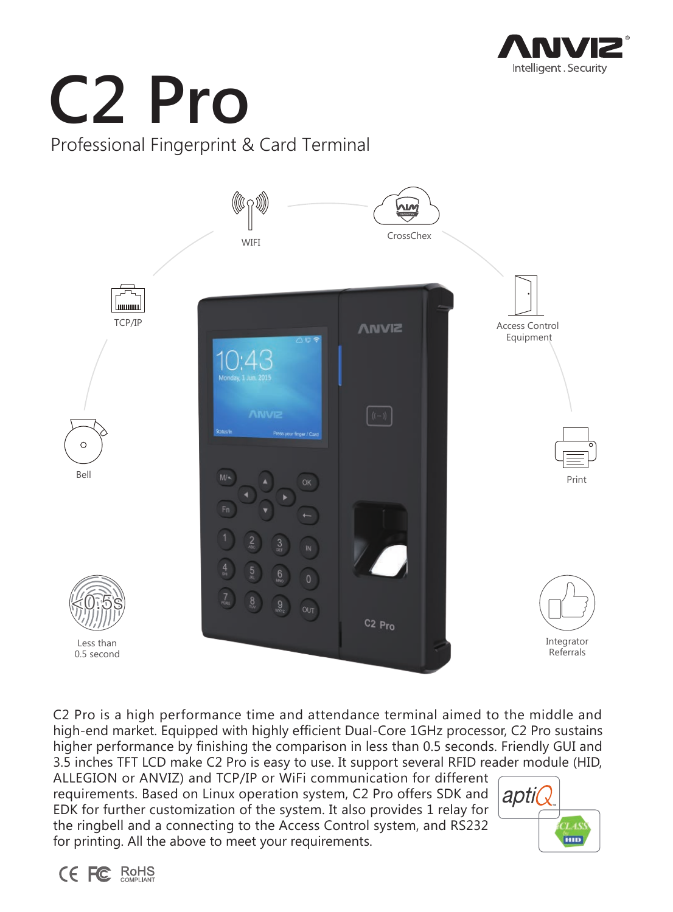

# **C2 Pro** Professional Fingerprint & Card Terminal



C2 Pro is a high performance time and attendance terminal aimed to the middle and high-end market. Equipped with highly efficient Dual-Core 1GHz processor, C2 Pro sustains higher performance by finishing the comparison in less than 0.5 seconds. Friendly GUI and 3.5 inches TFT LCD make C2 Pro is easy to use. It support several RFID reader module (HID,

ALLEGION or ANVIZ) and TCP/IP or WiFi communication for different requirements. Based on Linux operation system, C2 Pro offers SDK and EDK for further customization of the system. It also provides 1 relay for the ringbell and a connecting to the Access Control system, and RS232 for printing. All the above to meet your requirements.



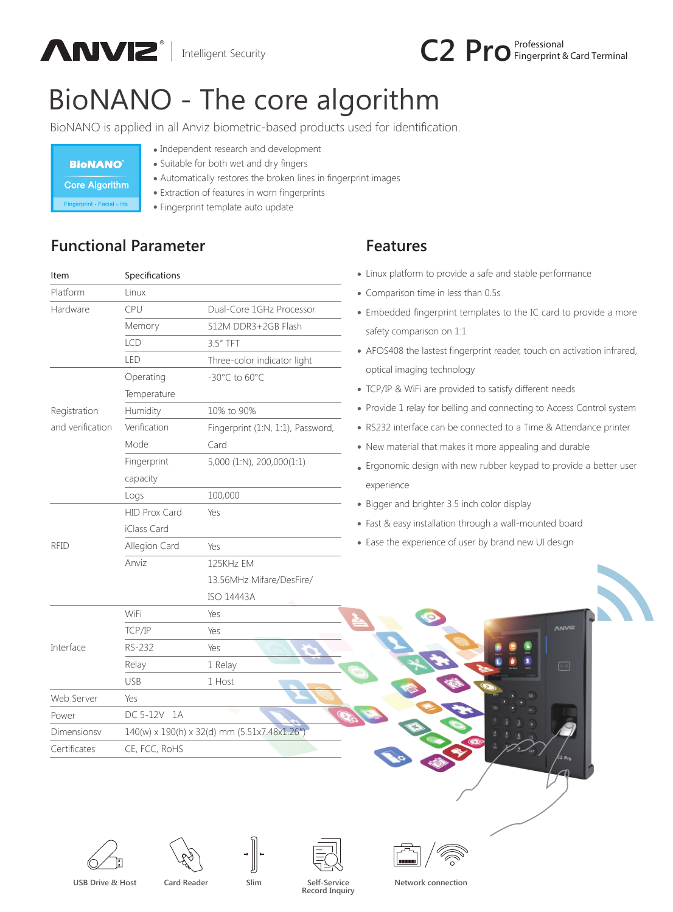



## BioNANO - The core algorithm

BioNANO is applied in all Anviz biometric-based products used for identification.

| <b>BioNANO</b>          |
|-------------------------|
| <b>Core Algorithm</b>   |
| Financesint Footel Isla |

- Independent research and development
- Suitable for both wet and dry fingers
- Automatically restores the broken lines in fingerprint images
- Extraction of features in worn fingerprints
- Fingerprint template auto update

## **Functional Parameter**

| Item             | Specifications                               |                                    |  |
|------------------|----------------------------------------------|------------------------------------|--|
| Platform         | Linux                                        |                                    |  |
| Hardware         | CPU                                          | Dual-Core 1GHz Processor           |  |
|                  | Memory                                       | 512M DDR3+2GB Flash                |  |
|                  | LCD                                          | $3.5"$ TFT                         |  |
|                  | LED                                          | Three-color indicator light        |  |
|                  | Operating                                    | $-30^{\circ}$ C to 60 $^{\circ}$ C |  |
|                  | Temperature                                  |                                    |  |
| Registration     | Humidity                                     | 10% to 90%                         |  |
| and verification | Verification                                 | Fingerprint (1:N, 1:1), Password,  |  |
|                  | Mode                                         | Card                               |  |
|                  | Fingerprint                                  | 5,000 (1:N), 200,000(1:1)          |  |
|                  | capacity                                     |                                    |  |
|                  | Logs                                         | 100,000                            |  |
|                  | HID Prox Card                                | Yes                                |  |
|                  | iClass Card                                  |                                    |  |
| <b>RFID</b>      | Allegion Card                                | Yes                                |  |
|                  | Anviz                                        | 125KHz EM                          |  |
|                  |                                              | 13.56MHz Mifare/DesFire/           |  |
|                  |                                              | <b>ISO 14443A</b>                  |  |
| Interface        | WiFi                                         | Yes                                |  |
|                  | TCP/IP                                       | Yes                                |  |
|                  | RS-232                                       | Yes                                |  |
|                  | Relay                                        | 1 Relay                            |  |
|                  | <b>USB</b>                                   | 1 Host                             |  |
| Web Server       | Yes                                          |                                    |  |
| Power            | DC 5-12V<br>1A                               |                                    |  |
| Dimensionsy      | 140(w) x 190(h) x 32(d) mm (5.51x7.48x1.26") |                                    |  |
| Certificates     | CE, FCC, RoHS                                |                                    |  |

## **Features**

- ux platform to provide a safe and stable performance
- mparison time in less than 0.5s
- bedded fingerprint templates to the IC card to provide a more ety comparison on 1:1
- OS408 the lastest fingerprint reader, touch on activation infrared, ical imaging technology
- TP & WiFi are provided to satisfy different needs
- vide 1 relay for belling and connecting to Access Control system
- 232 interface can be connected to a Time & Attendance printer
- w material that makes it more appealing and durable
- onomic design with new rubber keypad to provide a better user erience
- ger and brighter 3.5 inch color display
- & easy installation through a wall-mounted board
- e the experience of user by brand new UI design

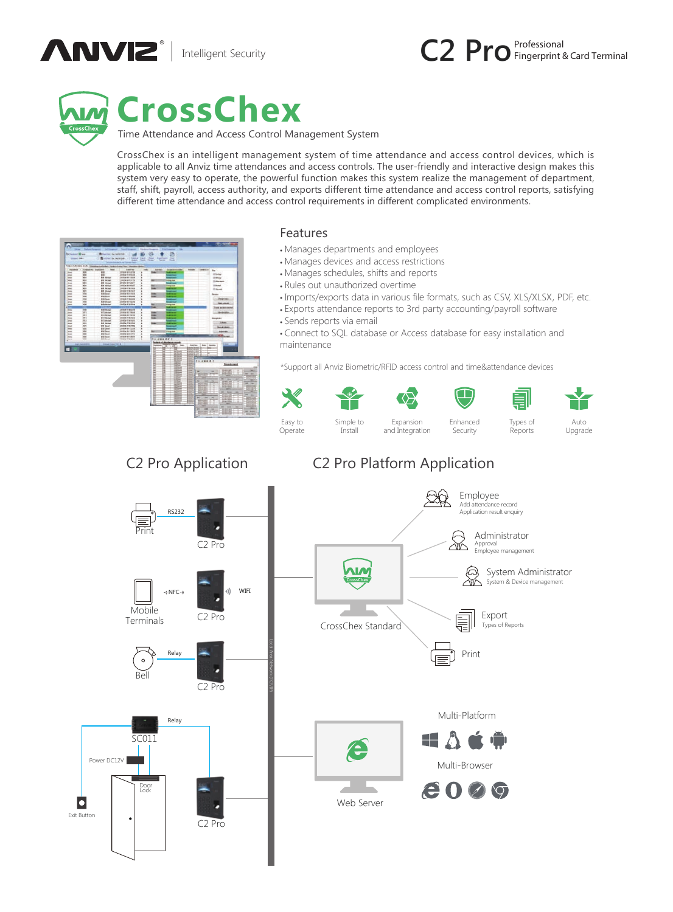





## **CrossChex**

Time Attendance and Access Control Management System

CrossChex is an intelligent management system of time attendance and access control devices, which is applicable to all Anviz time attendances and access controls. The user-friendly and interactive design makes this system very easy to operate, the powerful function makes this system realize the management of department, staff, shift, payroll, access authority, and exports different time attendance and access control reports, satisfying different time attendance and access control requirements in different complicated environments.



#### Features

- Manages departments and employees
- Manages devices and access restrictions
- Manages schedules, shifts and reports
- Rules out unauthorized overtime
- Imports/exports data in various file formats, such as CSV, XLS/XLSX, PDF, etc.
- Exports attendance reports to 3rd party accounting/payroll software • Sends reports via email
- Connect to SQL database or Access database for easy installation and maintenance

\*Support all Anviz Biometric/RFID access control and time&attendance devices



### C2 Pro Application C2 Pro Platform Application